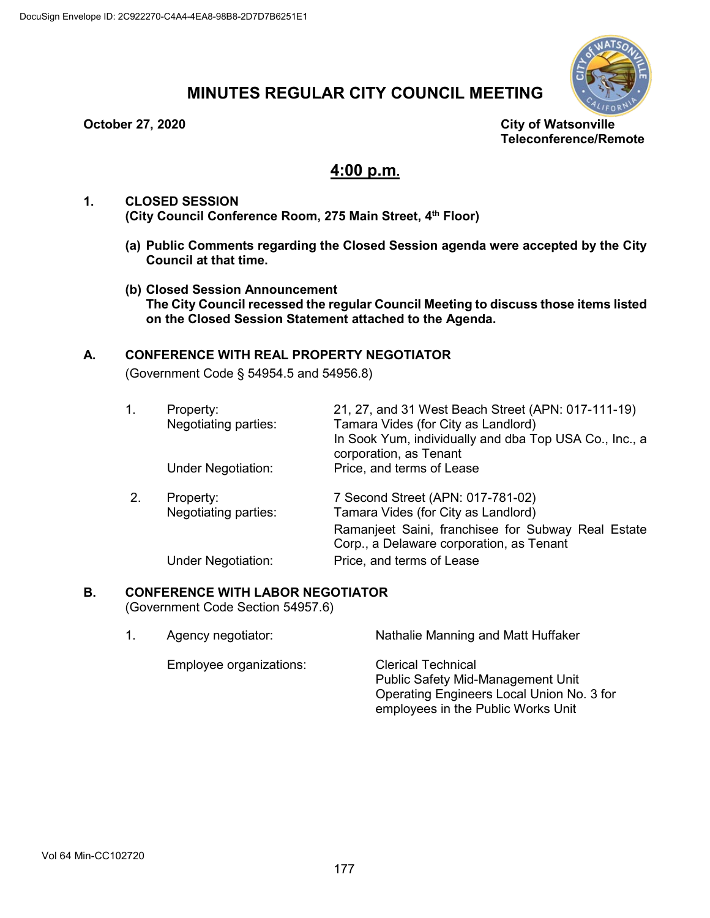

# **MINUTES REGULAR CITY COUNCIL MEETING**

**October 27, 2020 City of Watsonville Teleconference/Remote**

## **4:00 p.m.**

## **1. CLOSED SESSION (City Council Conference Room, 275 Main Street, 4th Floor)**

- **(a) Public Comments regarding the Closed Session agenda were accepted by the City Council at that time.**
- **(b) Closed Session Announcement The City Council recessed the regular Council Meeting to discuss those items listed on the Closed Session Statement attached to the Agenda.**

## **A. CONFERENCE WITH REAL PROPERTY NEGOTIATOR**

(Government Code § 54954.5 and 54956.8)

| 1. | Property:<br>Negotiating parties:<br><b>Under Negotiation:</b> | 21, 27, and 31 West Beach Street (APN: 017-111-19)<br>Tamara Vides (for City as Landlord)<br>In Sook Yum, individually and dba Top USA Co., Inc., a<br>corporation, as Tenant<br>Price, and terms of Lease |
|----|----------------------------------------------------------------|------------------------------------------------------------------------------------------------------------------------------------------------------------------------------------------------------------|
| 2. | Property:<br>Negotiating parties:<br><b>Under Negotiation:</b> | 7 Second Street (APN: 017-781-02)<br>Tamara Vides (for City as Landlord)<br>Ramanjeet Saini, franchisee for Subway Real Estate<br>Corp., a Delaware corporation, as Tenant<br>Price, and terms of Lease    |

## **B. CONFERENCE WITH LABOR NEGOTIATOR**

(Government Code Section 54957.6)

| Agency negotiator:      | Nathalie Manning and Matt Huffaker                                              |  |  |
|-------------------------|---------------------------------------------------------------------------------|--|--|
| Employee organizations: | <b>Clerical Technical</b><br><b>Public Safety Mid-Management Unit</b>           |  |  |
|                         | Operating Engineers Local Union No. 3 for<br>employees in the Public Works Unit |  |  |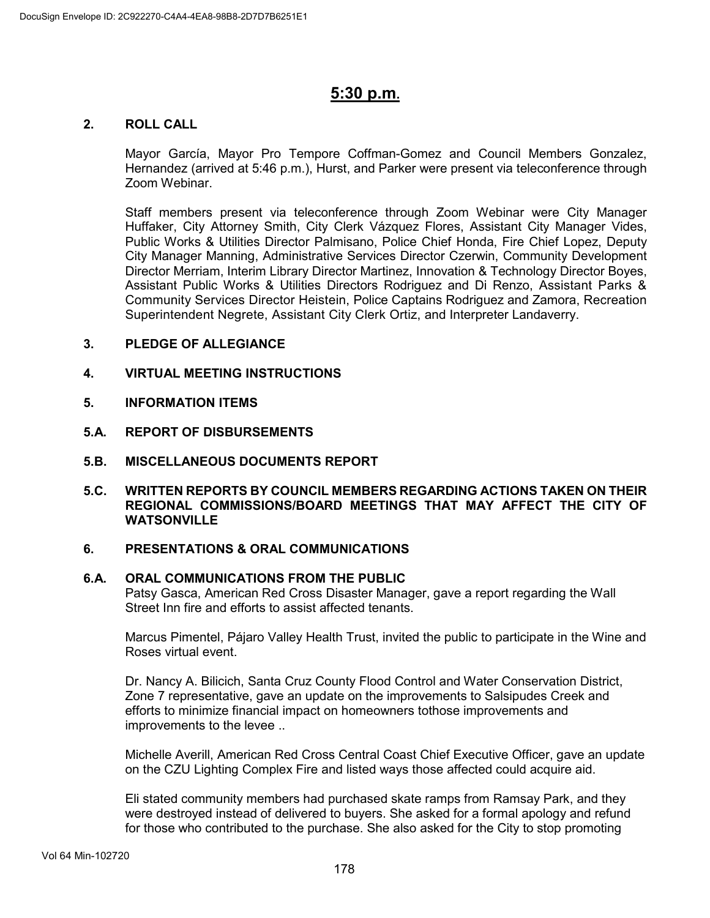## **5:30 p.m.**

### **2. ROLL CALL**

Mayor García, Mayor Pro Tempore Coffman-Gomez and Council Members Gonzalez, Hernandez (arrived at 5:46 p.m.), Hurst, and Parker were present via teleconference through Zoom Webinar.

Staff members present via teleconference through Zoom Webinar were City Manager Huffaker, City Attorney Smith, City Clerk Vázquez Flores, Assistant City Manager Vides, Public Works & Utilities Director Palmisano, Police Chief Honda, Fire Chief Lopez, Deputy City Manager Manning, Administrative Services Director Czerwin, Community Development Director Merriam, Interim Library Director Martinez, Innovation & Technology Director Boyes, Assistant Public Works & Utilities Directors Rodriguez and Di Renzo, Assistant Parks & Community Services Director Heistein, Police Captains Rodriguez and Zamora, Recreation Superintendent Negrete, Assistant City Clerk Ortiz, and Interpreter Landaverry.

### **3. PLEDGE OF ALLEGIANCE**

- **4. VIRTUAL MEETING INSTRUCTIONS**
- **5. INFORMATION ITEMS**
- **5.A. REPORT OF DISBURSEMENTS**
- **5.B. MISCELLANEOUS DOCUMENTS REPORT**
- **5.C. WRITTEN REPORTS BY COUNCIL MEMBERS REGARDING ACTIONS TAKEN ON THEIR REGIONAL COMMISSIONS/BOARD MEETINGS THAT MAY AFFECT THE CITY OF WATSONVILLE**

#### **6. PRESENTATIONS & ORAL COMMUNICATIONS**

#### **6.A. ORAL COMMUNICATIONS FROM THE PUBLIC**

Patsy Gasca, American Red Cross Disaster Manager, gave a report regarding the Wall Street Inn fire and efforts to assist affected tenants.

Marcus Pimentel, Pájaro Valley Health Trust, invited the public to participate in the Wine and Roses virtual event.

Dr. Nancy A. Bilicich, Santa Cruz County Flood Control and Water Conservation District, Zone 7 representative, gave an update on the improvements to Salsipudes Creek and efforts to minimize financial impact on homeowners tothose improvements and improvements to the levee ..

Michelle Averill, American Red Cross Central Coast Chief Executive Officer, gave an update on the CZU Lighting Complex Fire and listed ways those affected could acquire aid.

Eli stated community members had purchased skate ramps from Ramsay Park, and they were destroyed instead of delivered to buyers. She asked for a formal apology and refund for those who contributed to the purchase. She also asked for the City to stop promoting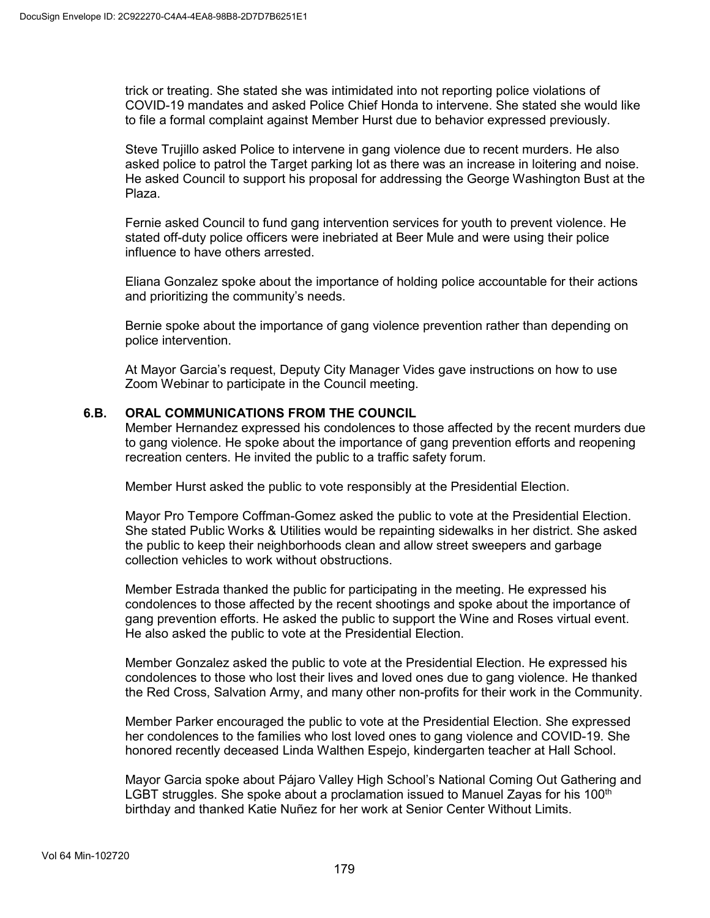trick or treating. She stated she was intimidated into not reporting police violations of COVID-19 mandates and asked Police Chief Honda to intervene. She stated she would like to file a formal complaint against Member Hurst due to behavior expressed previously.

Steve Trujillo asked Police to intervene in gang violence due to recent murders. He also asked police to patrol the Target parking lot as there was an increase in loitering and noise. He asked Council to support his proposal for addressing the George Washington Bust at the Plaza.

Fernie asked Council to fund gang intervention services for youth to prevent violence. He stated off-duty police officers were inebriated at Beer Mule and were using their police influence to have others arrested.

Eliana Gonzalez spoke about the importance of holding police accountable for their actions and prioritizing the community's needs.

Bernie spoke about the importance of gang violence prevention rather than depending on police intervention.

At Mayor Garcia's request, Deputy City Manager Vides gave instructions on how to use Zoom Webinar to participate in the Council meeting.

#### **6.B. ORAL COMMUNICATIONS FROM THE COUNCIL**

Member Hernandez expressed his condolences to those affected by the recent murders due to gang violence. He spoke about the importance of gang prevention efforts and reopening recreation centers. He invited the public to a traffic safety forum.

Member Hurst asked the public to vote responsibly at the Presidential Election.

Mayor Pro Tempore Coffman-Gomez asked the public to vote at the Presidential Election. She stated Public Works & Utilities would be repainting sidewalks in her district. She asked the public to keep their neighborhoods clean and allow street sweepers and garbage collection vehicles to work without obstructions.

Member Estrada thanked the public for participating in the meeting. He expressed his condolences to those affected by the recent shootings and spoke about the importance of gang prevention efforts. He asked the public to support the Wine and Roses virtual event. He also asked the public to vote at the Presidential Election.

Member Gonzalez asked the public to vote at the Presidential Election. He expressed his condolences to those who lost their lives and loved ones due to gang violence. He thanked the Red Cross, Salvation Army, and many other non-profits for their work in the Community.

Member Parker encouraged the public to vote at the Presidential Election. She expressed her condolences to the families who lost loved ones to gang violence and COVID-19. She honored recently deceased Linda Walthen Espejo, kindergarten teacher at Hall School.

Mayor Garcia spoke about Pájaro Valley High School's National Coming Out Gathering and LGBT struggles. She spoke about a proclamation issued to Manuel Zayas for his  $100<sup>th</sup>$ birthday and thanked Katie Nuñez for her work at Senior Center Without Limits.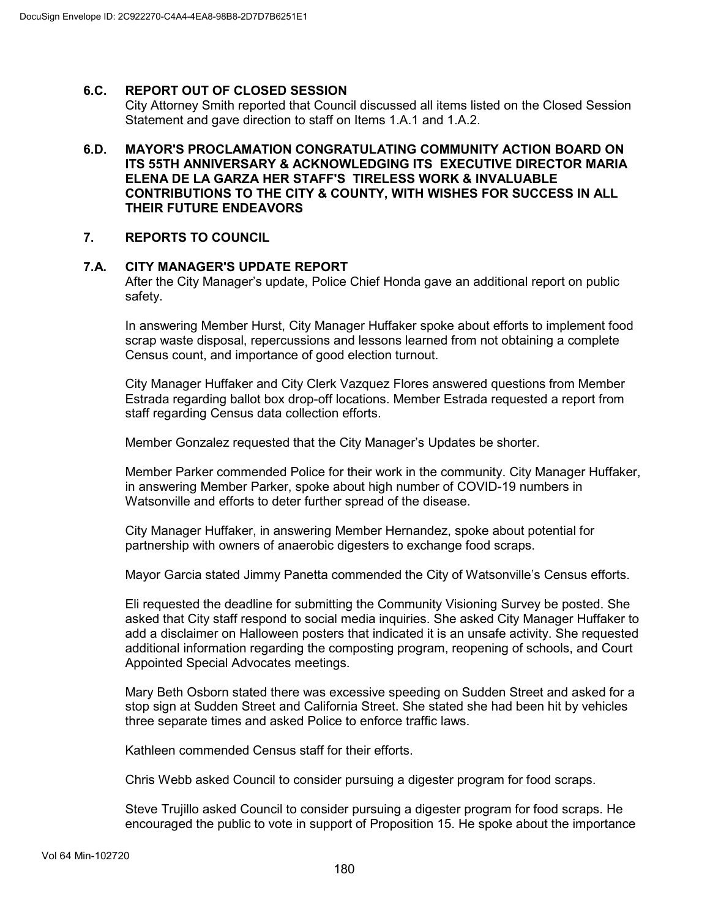## **6.C. REPORT OUT OF CLOSED SESSION**

City Attorney Smith reported that Council discussed all items listed on the Closed Session Statement and gave direction to staff on Items 1.A.1 and 1.A.2.

**6.D. MAYOR'S PROCLAMATION CONGRATULATING COMMUNITY ACTION BOARD ON ITS 55TH ANNIVERSARY & ACKNOWLEDGING ITS EXECUTIVE DIRECTOR MARIA ELENA DE LA GARZA HER STAFF'S TIRELESS WORK & INVALUABLE CONTRIBUTIONS TO THE CITY & COUNTY, WITH WISHES FOR SUCCESS IN ALL THEIR FUTURE ENDEAVORS**

#### **7. REPORTS TO COUNCIL**

#### **7.A. CITY MANAGER'S UPDATE REPORT**

After the City Manager's update, Police Chief Honda gave an additional report on public safety.

In answering Member Hurst, City Manager Huffaker spoke about efforts to implement food scrap waste disposal, repercussions and lessons learned from not obtaining a complete Census count, and importance of good election turnout.

City Manager Huffaker and City Clerk Vazquez Flores answered questions from Member Estrada regarding ballot box drop-off locations. Member Estrada requested a report from staff regarding Census data collection efforts.

Member Gonzalez requested that the City Manager's Updates be shorter.

Member Parker commended Police for their work in the community. City Manager Huffaker, in answering Member Parker, spoke about high number of COVID-19 numbers in Watsonville and efforts to deter further spread of the disease.

City Manager Huffaker, in answering Member Hernandez, spoke about potential for partnership with owners of anaerobic digesters to exchange food scraps.

Mayor Garcia stated Jimmy Panetta commended the City of Watsonville's Census efforts.

Eli requested the deadline for submitting the Community Visioning Survey be posted. She asked that City staff respond to social media inquiries. She asked City Manager Huffaker to add a disclaimer on Halloween posters that indicated it is an unsafe activity. She requested additional information regarding the composting program, reopening of schools, and Court Appointed Special Advocates meetings.

Mary Beth Osborn stated there was excessive speeding on Sudden Street and asked for a stop sign at Sudden Street and California Street. She stated she had been hit by vehicles three separate times and asked Police to enforce traffic laws.

Kathleen commended Census staff for their efforts.

Chris Webb asked Council to consider pursuing a digester program for food scraps.

Steve Trujillo asked Council to consider pursuing a digester program for food scraps. He encouraged the public to vote in support of Proposition 15. He spoke about the importance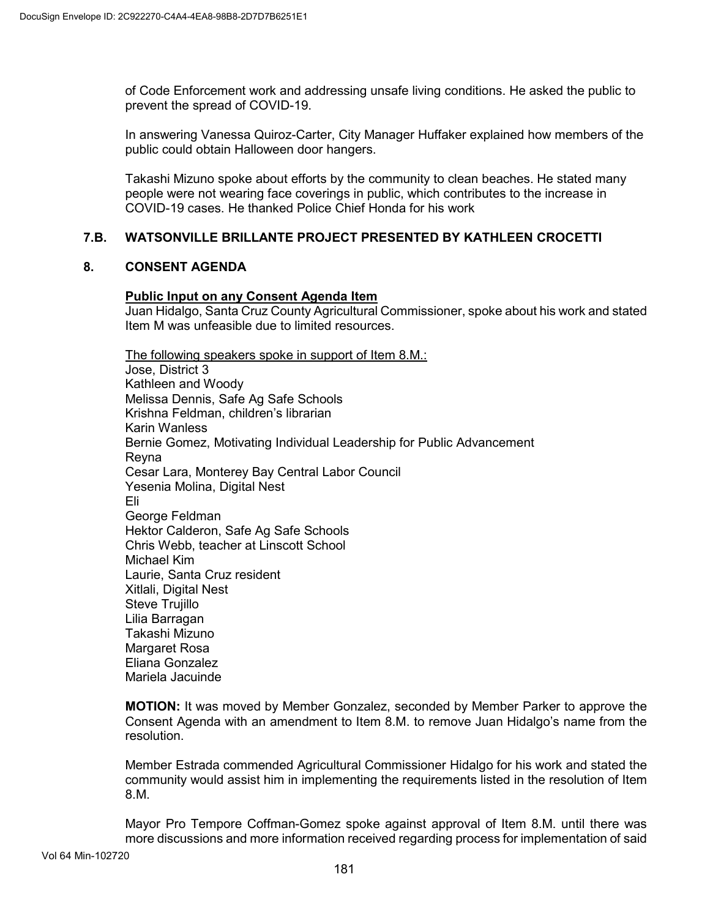of Code Enforcement work and addressing unsafe living conditions. He asked the public to prevent the spread of COVID-19.

In answering Vanessa Quiroz-Carter, City Manager Huffaker explained how members of the public could obtain Halloween door hangers.

Takashi Mizuno spoke about efforts by the community to clean beaches. He stated many people were not wearing face coverings in public, which contributes to the increase in COVID-19 cases. He thanked Police Chief Honda for his work

## **7.B. WATSONVILLE BRILLANTE PROJECT PRESENTED BY KATHLEEN CROCETTI**

#### **8. CONSENT AGENDA**

#### **Public Input on any Consent Agenda Item**

Juan Hidalgo, Santa Cruz County Agricultural Commissioner, spoke about his work and stated Item M was unfeasible due to limited resources.

The following speakers spoke in support of Item 8.M.: Jose, District 3 Kathleen and Woody Melissa Dennis, Safe Ag Safe Schools Krishna Feldman, children's librarian Karin Wanless Bernie Gomez, Motivating Individual Leadership for Public Advancement Reyna Cesar Lara, Monterey Bay Central Labor Council Yesenia Molina, Digital Nest Eli George Feldman Hektor Calderon, Safe Ag Safe Schools Chris Webb, teacher at Linscott School Michael Kim Laurie, Santa Cruz resident Xitlali, Digital Nest Steve Trujillo Lilia Barragan Takashi Mizuno Margaret Rosa Eliana Gonzalez Mariela Jacuinde

**MOTION:** It was moved by Member Gonzalez, seconded by Member Parker to approve the Consent Agenda with an amendment to Item 8.M. to remove Juan Hidalgo's name from the resolution.

Member Estrada commended Agricultural Commissioner Hidalgo for his work and stated the community would assist him in implementing the requirements listed in the resolution of Item 8.M.

Mayor Pro Tempore Coffman-Gomez spoke against approval of Item 8.M. until there was more discussions and more information received regarding process for implementation of said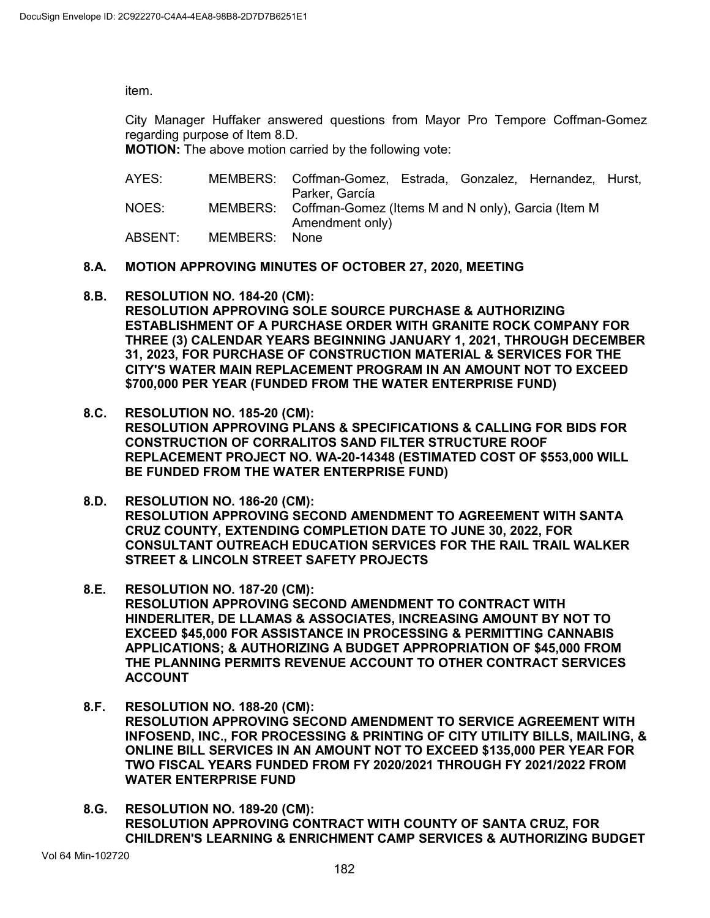item.

City Manager Huffaker answered questions from Mayor Pro Tempore Coffman-Gomez regarding purpose of Item 8.D.

**MOTION:** The above motion carried by the following vote:

| AYES:   |          | MEMBERS: Coffman-Gomez, Estrada, Gonzalez, Hernandez, Hurst,<br>Parker, García |  |  |
|---------|----------|--------------------------------------------------------------------------------|--|--|
| NOES:   |          | MEMBERS: Coffman-Gomez (Items M and N only), Garcia (Item M<br>Amendment only) |  |  |
| ABSENT: | MEMBERS: | None                                                                           |  |  |

- **8.A. MOTION APPROVING MINUTES OF OCTOBER 27, 2020, MEETING**
- **8.B. RESOLUTION NO. 184-20 (CM): RESOLUTION APPROVING SOLE SOURCE PURCHASE & AUTHORIZING ESTABLISHMENT OF A PURCHASE ORDER WITH GRANITE ROCK COMPANY FOR THREE (3) CALENDAR YEARS BEGINNING JANUARY 1, 2021, THROUGH DECEMBER 31, 2023, FOR PURCHASE OF CONSTRUCTION MATERIAL & SERVICES FOR THE CITY'S WATER MAIN REPLACEMENT PROGRAM IN AN AMOUNT NOT TO EXCEED \$700,000 PER YEAR (FUNDED FROM THE WATER ENTERPRISE FUND)**
- **8.C. RESOLUTION NO. 185-20 (CM): RESOLUTION APPROVING PLANS & SPECIFICATIONS & CALLING FOR BIDS FOR CONSTRUCTION OF CORRALITOS SAND FILTER STRUCTURE ROOF REPLACEMENT PROJECT NO. WA-20-14348 (ESTIMATED COST OF \$553,000 WILL BE FUNDED FROM THE WATER ENTERPRISE FUND)**
- **8.D. RESOLUTION NO. 186-20 (CM): RESOLUTION APPROVING SECOND AMENDMENT TO AGREEMENT WITH SANTA CRUZ COUNTY, EXTENDING COMPLETION DATE TO JUNE 30, 2022, FOR CONSULTANT OUTREACH EDUCATION SERVICES FOR THE RAIL TRAIL WALKER STREET & LINCOLN STREET SAFETY PROJECTS**
- **8.E. RESOLUTION NO. 187-20 (CM): RESOLUTION APPROVING SECOND AMENDMENT TO CONTRACT WITH HINDERLITER, DE LLAMAS & ASSOCIATES, INCREASING AMOUNT BY NOT TO EXCEED \$45,000 FOR ASSISTANCE IN PROCESSING & PERMITTING CANNABIS APPLICATIONS; & AUTHORIZING A BUDGET APPROPRIATION OF \$45,000 FROM THE PLANNING PERMITS REVENUE ACCOUNT TO OTHER CONTRACT SERVICES ACCOUNT**
- **8.F. RESOLUTION NO. 188-20 (CM): RESOLUTION APPROVING SECOND AMENDMENT TO SERVICE AGREEMENT WITH INFOSEND, INC., FOR PROCESSING & PRINTING OF CITY UTILITY BILLS, MAILING, & ONLINE BILL SERVICES IN AN AMOUNT NOT TO EXCEED \$135,000 PER YEAR FOR TWO FISCAL YEARS FUNDED FROM FY 2020/2021 THROUGH FY 2021/2022 FROM WATER ENTERPRISE FUND**
- **8.G. RESOLUTION NO. 189-20 (CM): RESOLUTION APPROVING CONTRACT WITH COUNTY OF SANTA CRUZ, FOR CHILDREN'S LEARNING & ENRICHMENT CAMP SERVICES & AUTHORIZING BUDGET**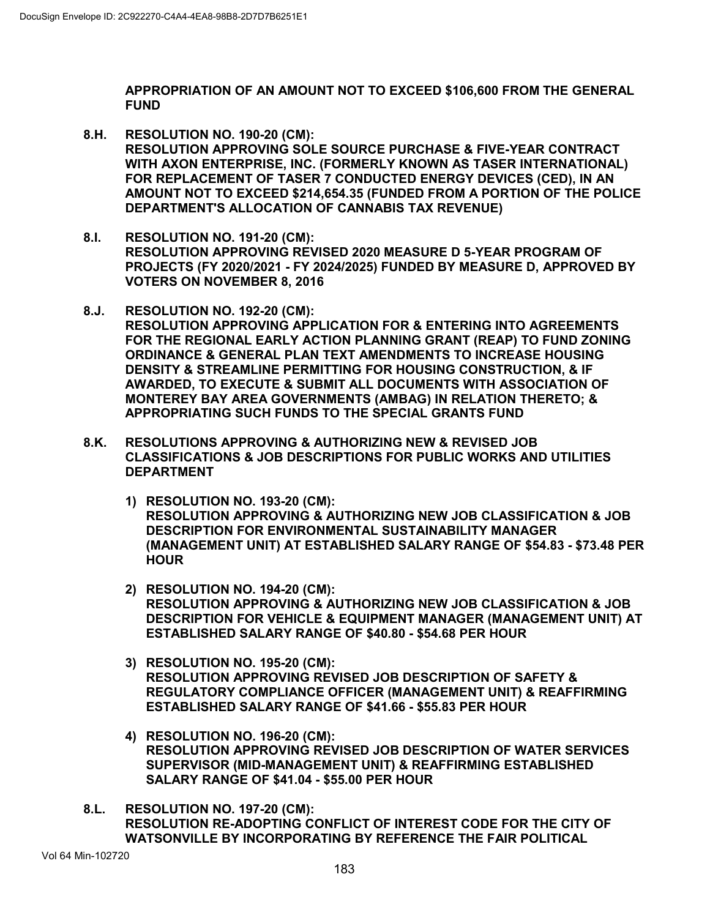**APPROPRIATION OF AN AMOUNT NOT TO EXCEED \$106,600 FROM THE GENERAL FUND**

- **8.H. RESOLUTION NO. 190-20 (CM): RESOLUTION APPROVING SOLE SOURCE PURCHASE & FIVE-YEAR CONTRACT WITH AXON ENTERPRISE, INC. (FORMERLY KNOWN AS TASER INTERNATIONAL) FOR REPLACEMENT OF TASER 7 CONDUCTED ENERGY DEVICES (CED), IN AN AMOUNT NOT TO EXCEED \$214,654.35 (FUNDED FROM A PORTION OF THE POLICE DEPARTMENT'S ALLOCATION OF CANNABIS TAX REVENUE)**
- **8.I. RESOLUTION NO. 191-20 (CM): RESOLUTION APPROVING REVISED 2020 MEASURE D 5-YEAR PROGRAM OF PROJECTS (FY 2020/2021 - FY 2024/2025) FUNDED BY MEASURE D, APPROVED BY VOTERS ON NOVEMBER 8, 2016**
- **8.J. RESOLUTION NO. 192-20 (CM): RESOLUTION APPROVING APPLICATION FOR & ENTERING INTO AGREEMENTS FOR THE REGIONAL EARLY ACTION PLANNING GRANT (REAP) TO FUND ZONING ORDINANCE & GENERAL PLAN TEXT AMENDMENTS TO INCREASE HOUSING DENSITY & STREAMLINE PERMITTING FOR HOUSING CONSTRUCTION, & IF AWARDED, TO EXECUTE & SUBMIT ALL DOCUMENTS WITH ASSOCIATION OF MONTEREY BAY AREA GOVERNMENTS (AMBAG) IN RELATION THERETO; & APPROPRIATING SUCH FUNDS TO THE SPECIAL GRANTS FUND**
- **8.K. RESOLUTIONS APPROVING & AUTHORIZING NEW & REVISED JOB CLASSIFICATIONS & JOB DESCRIPTIONS FOR PUBLIC WORKS AND UTILITIES DEPARTMENT**
	- **1) RESOLUTION NO. 193-20 (CM): RESOLUTION APPROVING & AUTHORIZING NEW JOB CLASSIFICATION & JOB DESCRIPTION FOR ENVIRONMENTAL SUSTAINABILITY MANAGER (MANAGEMENT UNIT) AT ESTABLISHED SALARY RANGE OF \$54.83 - \$73.48 PER HOUR**
	- **2) RESOLUTION NO. 194-20 (CM): RESOLUTION APPROVING & AUTHORIZING NEW JOB CLASSIFICATION & JOB DESCRIPTION FOR VEHICLE & EQUIPMENT MANAGER (MANAGEMENT UNIT) AT ESTABLISHED SALARY RANGE OF \$40.80 - \$54.68 PER HOUR**
	- **3) RESOLUTION NO. 195-20 (CM): RESOLUTION APPROVING REVISED JOB DESCRIPTION OF SAFETY & REGULATORY COMPLIANCE OFFICER (MANAGEMENT UNIT) & REAFFIRMING ESTABLISHED SALARY RANGE OF \$41.66 - \$55.83 PER HOUR**
	- **4) RESOLUTION NO. 196-20 (CM): RESOLUTION APPROVING REVISED JOB DESCRIPTION OF WATER SERVICES SUPERVISOR (MID-MANAGEMENT UNIT) & REAFFIRMING ESTABLISHED SALARY RANGE OF \$41.04 - \$55.00 PER HOUR**
- **8.L. RESOLUTION NO. 197-20 (CM): RESOLUTION RE-ADOPTING CONFLICT OF INTEREST CODE FOR THE CITY OF WATSONVILLE BY INCORPORATING BY REFERENCE THE FAIR POLITICAL**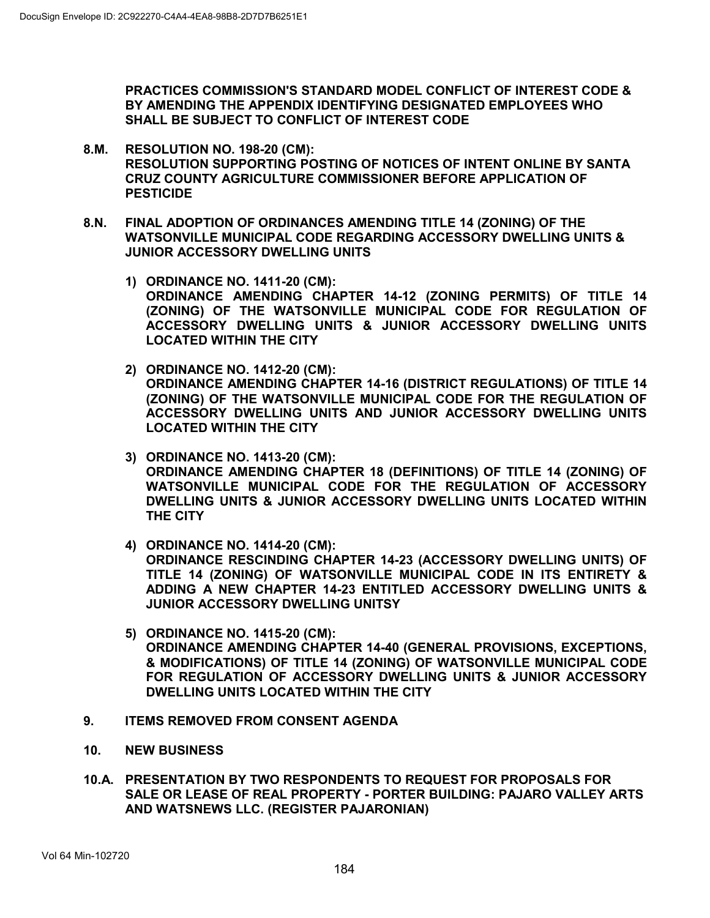**PRACTICES COMMISSION'S STANDARD MODEL CONFLICT OF INTEREST CODE & BY AMENDING THE APPENDIX IDENTIFYING DESIGNATED EMPLOYEES WHO SHALL BE SUBJECT TO CONFLICT OF INTEREST CODE**

- **8.M. RESOLUTION NO. 198-20 (CM): RESOLUTION SUPPORTING POSTING OF NOTICES OF INTENT ONLINE BY SANTA CRUZ COUNTY AGRICULTURE COMMISSIONER BEFORE APPLICATION OF PESTICIDE**
- **8.N. FINAL ADOPTION OF ORDINANCES AMENDING TITLE 14 (ZONING) OF THE WATSONVILLE MUNICIPAL CODE REGARDING ACCESSORY DWELLING UNITS & JUNIOR ACCESSORY DWELLING UNITS**
	- **1) ORDINANCE NO. 1411-20 (CM): ORDINANCE AMENDING CHAPTER 14-12 (ZONING PERMITS) OF TITLE 14 (ZONING) OF THE WATSONVILLE MUNICIPAL CODE FOR REGULATION OF ACCESSORY DWELLING UNITS & JUNIOR ACCESSORY DWELLING UNITS LOCATED WITHIN THE CITY**
	- **2) ORDINANCE NO. 1412-20 (CM): ORDINANCE AMENDING CHAPTER 14-16 (DISTRICT REGULATIONS) OF TITLE 14 (ZONING) OF THE WATSONVILLE MUNICIPAL CODE FOR THE REGULATION OF ACCESSORY DWELLING UNITS AND JUNIOR ACCESSORY DWELLING UNITS LOCATED WITHIN THE CITY**
	- **3) ORDINANCE NO. 1413-20 (CM): ORDINANCE AMENDING CHAPTER 18 (DEFINITIONS) OF TITLE 14 (ZONING) OF WATSONVILLE MUNICIPAL CODE FOR THE REGULATION OF ACCESSORY DWELLING UNITS & JUNIOR ACCESSORY DWELLING UNITS LOCATED WITHIN THE CITY**
	- **4) ORDINANCE NO. 1414-20 (CM):**

**ORDINANCE RESCINDING CHAPTER 14-23 (ACCESSORY DWELLING UNITS) OF TITLE 14 (ZONING) OF WATSONVILLE MUNICIPAL CODE IN ITS ENTIRETY & ADDING A NEW CHAPTER 14-23 ENTITLED ACCESSORY DWELLING UNITS & JUNIOR ACCESSORY DWELLING UNITSY**

- **5) ORDINANCE NO. 1415-20 (CM): ORDINANCE AMENDING CHAPTER 14-40 (GENERAL PROVISIONS, EXCEPTIONS, & MODIFICATIONS) OF TITLE 14 (ZONING) OF WATSONVILLE MUNICIPAL CODE FOR REGULATION OF ACCESSORY DWELLING UNITS & JUNIOR ACCESSORY DWELLING UNITS LOCATED WITHIN THE CITY**
- **9. ITEMS REMOVED FROM CONSENT AGENDA**
- **10. NEW BUSINESS**
- **10.A. PRESENTATION BY TWO RESPONDENTS TO REQUEST FOR PROPOSALS FOR SALE OR LEASE OF REAL PROPERTY - PORTER BUILDING: PAJARO VALLEY ARTS AND WATSNEWS LLC. (REGISTER PAJARONIAN)**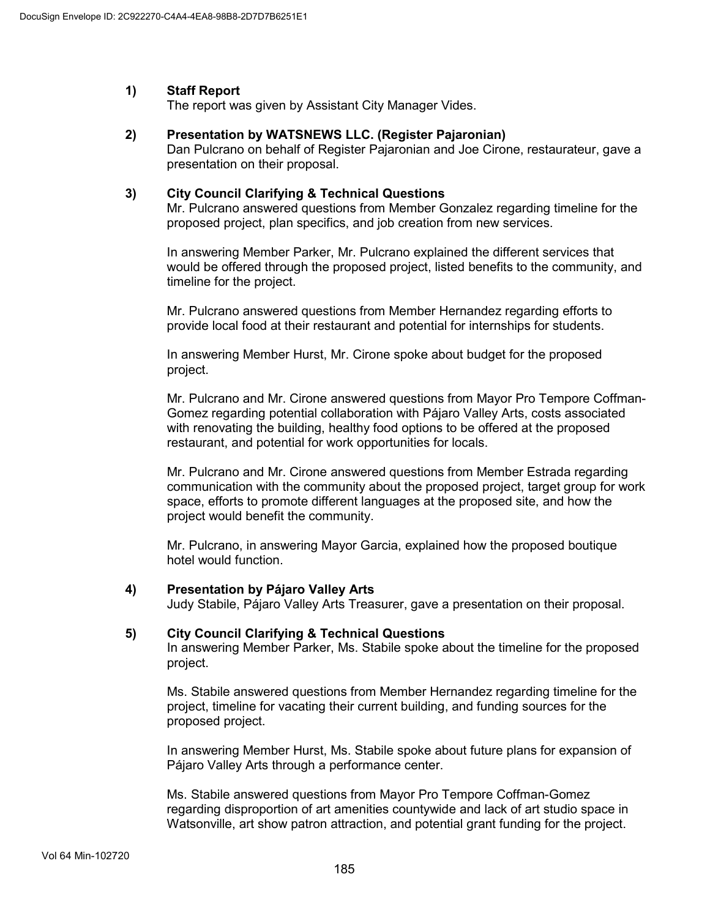## **1) Staff Report**

The report was given by Assistant City Manager Vides.

#### **2) Presentation by WATSNEWS LLC. (Register Pajaronian)**

Dan Pulcrano on behalf of Register Pajaronian and Joe Cirone, restaurateur, gave a presentation on their proposal.

#### **3) City Council Clarifying & Technical Questions**

Mr. Pulcrano answered questions from Member Gonzalez regarding timeline for the proposed project, plan specifics, and job creation from new services.

In answering Member Parker, Mr. Pulcrano explained the different services that would be offered through the proposed project, listed benefits to the community, and timeline for the project.

Mr. Pulcrano answered questions from Member Hernandez regarding efforts to provide local food at their restaurant and potential for internships for students.

In answering Member Hurst, Mr. Cirone spoke about budget for the proposed project.

Mr. Pulcrano and Mr. Cirone answered questions from Mayor Pro Tempore Coffman-Gomez regarding potential collaboration with Pájaro Valley Arts, costs associated with renovating the building, healthy food options to be offered at the proposed restaurant, and potential for work opportunities for locals.

Mr. Pulcrano and Mr. Cirone answered questions from Member Estrada regarding communication with the community about the proposed project, target group for work space, efforts to promote different languages at the proposed site, and how the project would benefit the community.

Mr. Pulcrano, in answering Mayor Garcia, explained how the proposed boutique hotel would function.

#### **4) Presentation by Pájaro Valley Arts**

Judy Stabile, Pájaro Valley Arts Treasurer, gave a presentation on their proposal.

#### **5) City Council Clarifying & Technical Questions**

In answering Member Parker, Ms. Stabile spoke about the timeline for the proposed project.

Ms. Stabile answered questions from Member Hernandez regarding timeline for the project, timeline for vacating their current building, and funding sources for the proposed project.

In answering Member Hurst, Ms. Stabile spoke about future plans for expansion of Pájaro Valley Arts through a performance center.

Ms. Stabile answered questions from Mayor Pro Tempore Coffman-Gomez regarding disproportion of art amenities countywide and lack of art studio space in Watsonville, art show patron attraction, and potential grant funding for the project.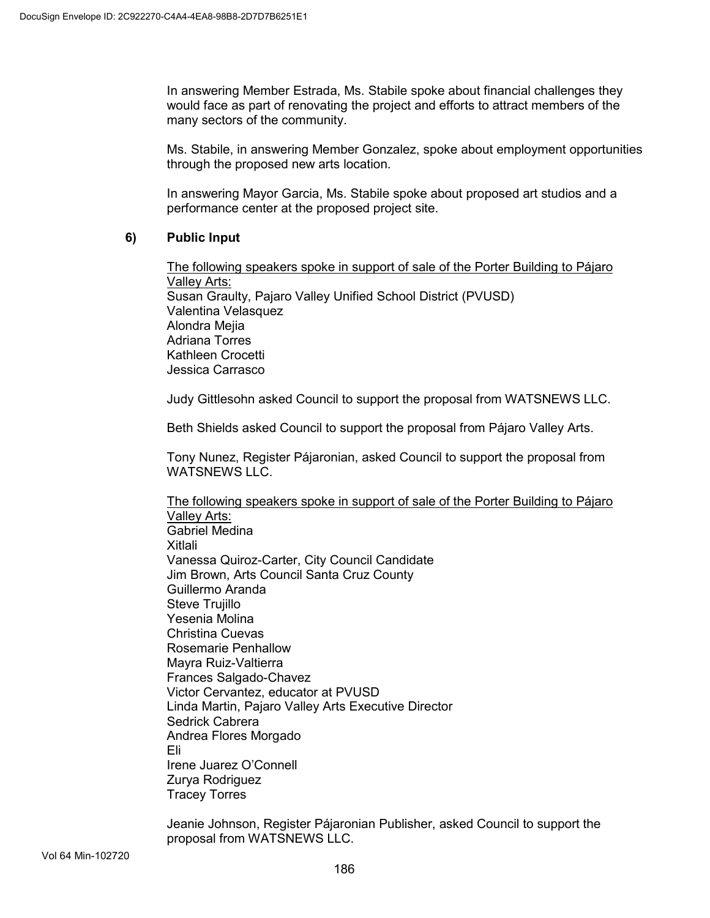In answering Member Estrada, Ms. Stabile spoke about financial challenges they would face as part of renovating the project and efforts to attract members of the many sectors of the community.

Ms. Stabile, in answering Member Gonzalez, spoke about employment opportunities through the proposed new arts location.

In answering Mayor Garcia, Ms. Stabile spoke about proposed art studios and a performance center at the proposed project site.

## **6) Public Input**

The following speakers spoke in support of sale of the Porter Building to Pájaro Valley Arts: Susan Graulty, Pajaro Valley Unified School District (PVUSD) Valentina Velasquez Alondra Mejia Adriana Torres Kathleen Crocetti Jessica Carrasco

Judy Gittlesohn asked Council to support the proposal from WATSNEWS LLC.

Beth Shields asked Council to support the proposal from Pájaro Valley Arts.

Tony Nunez, Register Pájaronian, asked Council to support the proposal from WATSNEWS LLC.

The following speakers spoke in support of sale of the Porter Building to Pájaro Valley Arts: Gabriel Medina Xitlali Vanessa Quiroz-Carter, City Council Candidate Jim Brown, Arts Council Santa Cruz County Guillermo Aranda Steve Truiillo Yesenia Molina Christina Cuevas Rosemarie Penhallow Mayra Ruiz-Valtierra Frances Salgado-Chavez Victor Cervantez, educator at PVUSD Linda Martin, Pajaro Valley Arts Executive Director Sedrick Cabrera Andrea Flores Morgado Eli Irene Juarez O'Connell Zurya Rodriguez Tracey Torres

Jeanie Johnson, Register Pájaronian Publisher, asked Council to support the proposal from WATSNEWS LLC.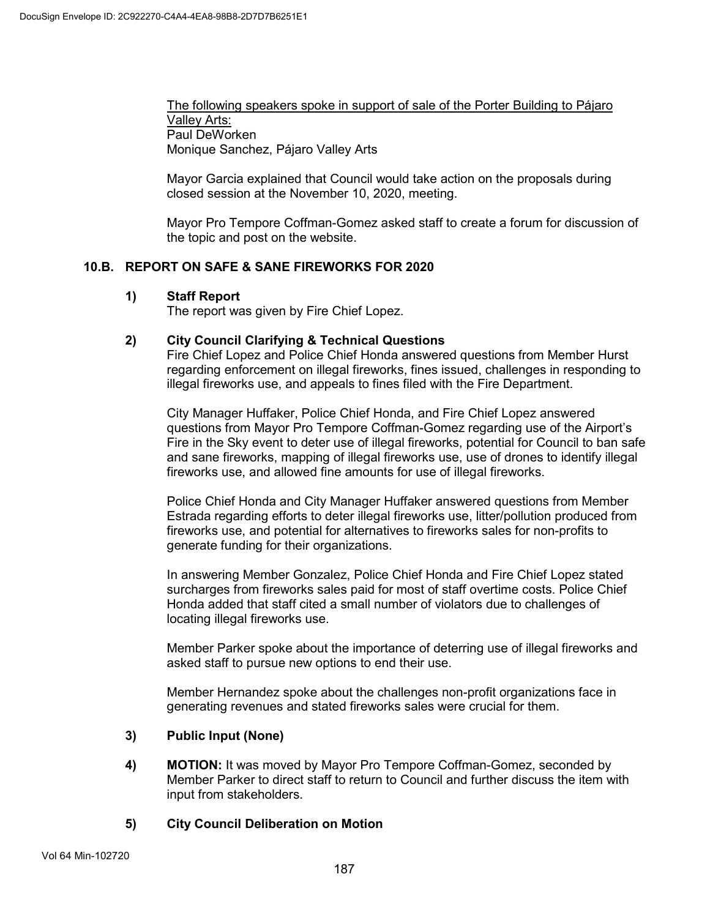The following speakers spoke in support of sale of the Porter Building to Pájaro Valley Arts: Paul DeWorken Monique Sanchez, Pájaro Valley Arts

Mayor Garcia explained that Council would take action on the proposals during closed session at the November 10, 2020, meeting.

Mayor Pro Tempore Coffman-Gomez asked staff to create a forum for discussion of the topic and post on the website.

## **10.B. REPORT ON SAFE & SANE FIREWORKS FOR 2020**

## **1) Staff Report**

The report was given by Fire Chief Lopez.

## **2) City Council Clarifying & Technical Questions**

Fire Chief Lopez and Police Chief Honda answered questions from Member Hurst regarding enforcement on illegal fireworks, fines issued, challenges in responding to illegal fireworks use, and appeals to fines filed with the Fire Department.

City Manager Huffaker, Police Chief Honda, and Fire Chief Lopez answered questions from Mayor Pro Tempore Coffman-Gomez regarding use of the Airport's Fire in the Sky event to deter use of illegal fireworks, potential for Council to ban safe and sane fireworks, mapping of illegal fireworks use, use of drones to identify illegal fireworks use, and allowed fine amounts for use of illegal fireworks.

Police Chief Honda and City Manager Huffaker answered questions from Member Estrada regarding efforts to deter illegal fireworks use, litter/pollution produced from fireworks use, and potential for alternatives to fireworks sales for non-profits to generate funding for their organizations.

In answering Member Gonzalez, Police Chief Honda and Fire Chief Lopez stated surcharges from fireworks sales paid for most of staff overtime costs. Police Chief Honda added that staff cited a small number of violators due to challenges of locating illegal fireworks use.

Member Parker spoke about the importance of deterring use of illegal fireworks and asked staff to pursue new options to end their use.

Member Hernandez spoke about the challenges non-profit organizations face in generating revenues and stated fireworks sales were crucial for them.

## **3) Public Input (None)**

**4) MOTION:** It was moved by Mayor Pro Tempore Coffman-Gomez, seconded by Member Parker to direct staff to return to Council and further discuss the item with input from stakeholders.

## **5) City Council Deliberation on Motion**